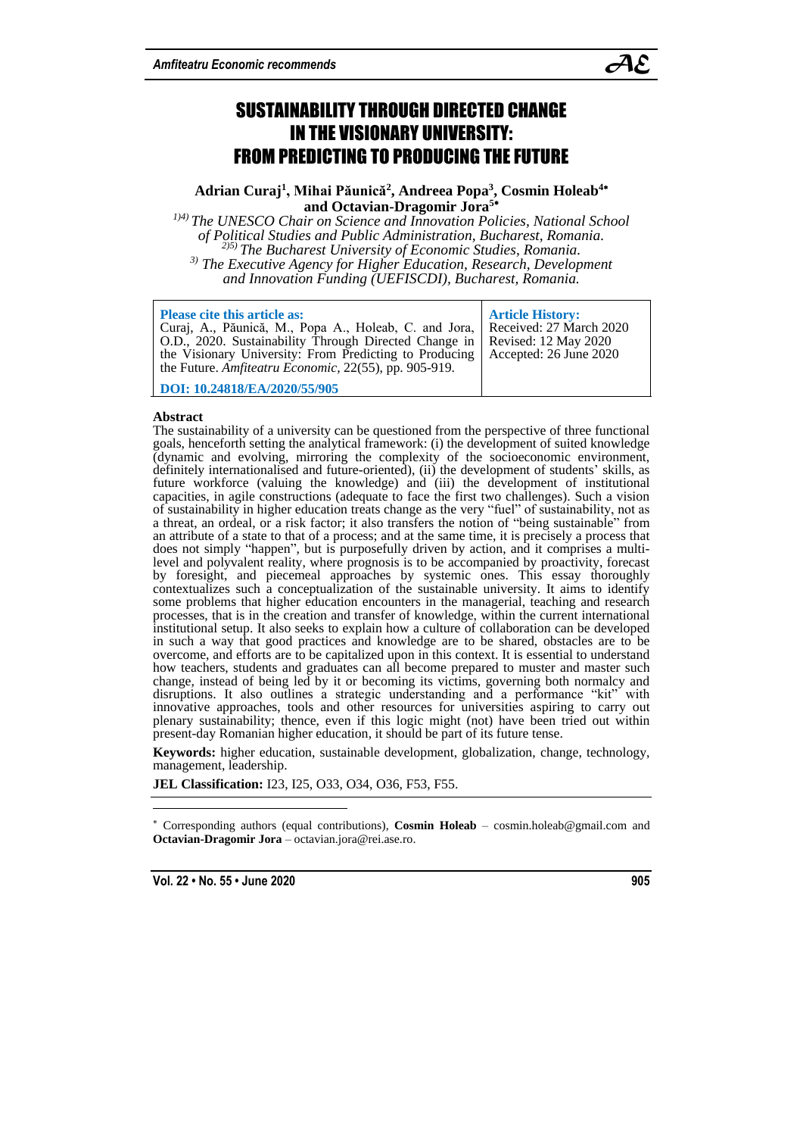

# SUSTAINABILITY THROUGH DIRECTED CHANGE IN THE VISIONARY UNIVERSITY: FROM PREDICTING TO PRODUCING THE FUTURE

# **Adrian Curaj<sup>1</sup> , Mihai Păunică<sup>2</sup> , Andreea Popa<sup>3</sup> , Cosmin Holeab<sup>4</sup> and Octavian-Dragomir Jora<sup>5</sup>**

*1)4) The UNESCO Chair on Science and Innovation Policies, National School of Political Studies and Public Administration, Bucharest, Romania. 2)5) The Bucharest University of Economic Studies, Romania. 3) The Executive Agency for Higher Education, Research, Development and Innovation Funding (UEFISCDI), Bucharest, Romania.*

| <b>Please cite this article as:</b><br>Curaj, A., Păunică, M., Popa A., Holeab, C. and Jora, Received: 27 March 2020<br>  O.D., 2020. Sustainability Through Directed Change in<br>the Visionary University: From Predicting to Producing<br>the Future. Amfiteatru Economic, 22(55), pp. 905-919. | <b>Article History:</b><br><b>Revised: 12 May 2020</b><br>Accepted: 26 June 2020 |
|----------------------------------------------------------------------------------------------------------------------------------------------------------------------------------------------------------------------------------------------------------------------------------------------------|----------------------------------------------------------------------------------|
| DOI: 10.24818/EA/2020/55/905                                                                                                                                                                                                                                                                       |                                                                                  |

#### **Abstract**

The sustainability of a university can be questioned from the perspective of three functional goals, henceforth setting the analytical framework: (i) the development of suited knowledge (dynamic and evolving, mirroring the complexity of the socioeconomic environment, definitely internationalised and future-oriented), (ii) the development of students' skills, as future workforce (valuing the knowledge) and (iii) the development of institutional capacities, in agile constructions (adequate to face the first two challenges). Such a vision of sustainability in higher education treats change as the very "fuel" of sustainability, not as a threat, an ordeal, or a risk factor; it also transfers the notion of "being sustainable" from an attribute of a state to that of a process; and at the same time, it is precisely a process that does not simply "happen", but is purposefully driven by action, and it comprises a multilevel and polyvalent reality, where prognosis is to be accompanied by proactivity, forecast by foresight, and piecemeal approaches by systemic ones. This essay thoroughly contextualizes such a conceptualization of the sustainable university. It aims to identify some problems that higher education encounters in the managerial, teaching and research processes, that is in the creation and transfer of knowledge, within the current international institutional setup. It also seeks to explain how a culture of collaboration can be developed in such a way that good practices and knowledge are to be shared, obstacles are to be overcome, and efforts are to be capitalized upon in this context. It is essential to understand how teachers, students and graduates can all become prepared to muster and master such change, instead of being led by it or becoming its victims, governing both normalcy and disruptions. It also outlines a strategic understanding and a performance "kit" with innovative approaches, tools and other resources for universities aspiring to carry out plenary sustainability; thence, even if this logic might (not) have been tried out within present-day Romanian higher education, it should be part of its future tense.

**Keywords:** higher education, sustainable development, globalization, change, technology, management, leadership.

**JEL Classification:** I23, I25, O33, O34, O36, F53, F55.

 Corresponding authors (equal contributions), **Cosmin Holeab** – cosmin.holeab@gmail.com and **Octavian-Dragomir Jora** – octavian.jora@rei.ase.ro.

**Vol. 22 • No. 55 • June 2020 905**

 $\overline{a}$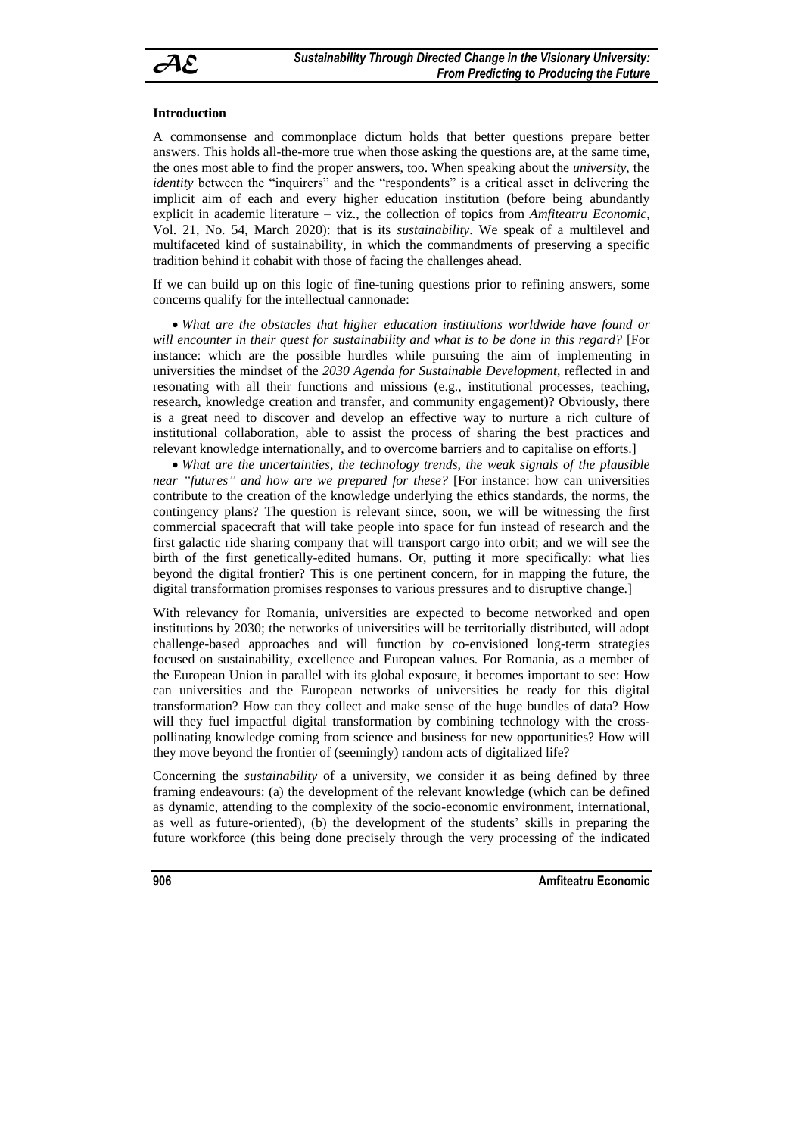

## **Introduction**

A commonsense and commonplace dictum holds that better questions prepare better answers. This holds all-the-more true when those asking the questions are, at the same time, the ones most able to find the proper answers, too. When speaking about the *university*, the *identity* between the "inquirers" and the "respondents" is a critical asset in delivering the implicit aim of each and every higher education institution (before being abundantly explicit in academic literature – viz., the collection of topics from *Amfiteatru Economic*, Vol. 21, No. 54, March 2020): that is its *sustainability*. We speak of a multilevel and multifaceted kind of sustainability, in which the commandments of preserving a specific tradition behind it cohabit with those of facing the challenges ahead.

If we can build up on this logic of fine-tuning questions prior to refining answers, some concerns qualify for the intellectual cannonade:

 *What are the obstacles that higher education institutions worldwide have found or will encounter in their quest for sustainability and what is to be done in this regard?* [For instance: which are the possible hurdles while pursuing the aim of implementing in universities the mindset of the *2030 Agenda for Sustainable Development*, reflected in and resonating with all their functions and missions (e.g., institutional processes, teaching, research, knowledge creation and transfer, and community engagement)? Obviously, there is a great need to discover and develop an effective way to nurture a rich culture of institutional collaboration, able to assist the process of sharing the best practices and relevant knowledge internationally, and to overcome barriers and to capitalise on efforts.]

 *What are the uncertainties, the technology trends, the weak signals of the plausible near "futures" and how are we prepared for these?* [For instance: how can universities contribute to the creation of the knowledge underlying the ethics standards, the norms, the contingency plans? The question is relevant since, soon, we will be witnessing the first commercial spacecraft that will take people into space for fun instead of research and the first galactic ride sharing company that will transport cargo into orbit; and we will see the birth of the first genetically-edited humans. Or, putting it more specifically: what lies beyond the digital frontier? This is one pertinent concern, for in mapping the future, the digital transformation promises responses to various pressures and to disruptive change.]

With relevancy for Romania, universities are expected to become networked and open institutions by 2030; the networks of universities will be territorially distributed, will adopt challenge-based approaches and will function by co-envisioned long-term strategies focused on sustainability, excellence and European values. For Romania, as a member of the European Union in parallel with its global exposure, it becomes important to see: How can universities and the European networks of universities be ready for this digital transformation? How can they collect and make sense of the huge bundles of data? How will they fuel impactful digital transformation by combining technology with the crosspollinating knowledge coming from science and business for new opportunities? How will they move beyond the frontier of (seemingly) random acts of digitalized life?

Concerning the *sustainability* of a university, we consider it as being defined by three framing endeavours: (a) the development of the relevant knowledge (which can be defined as dynamic, attending to the complexity of the socio-economic environment, international, as well as future-oriented), (b) the development of the students' skills in preparing the future workforce (this being done precisely through the very processing of the indicated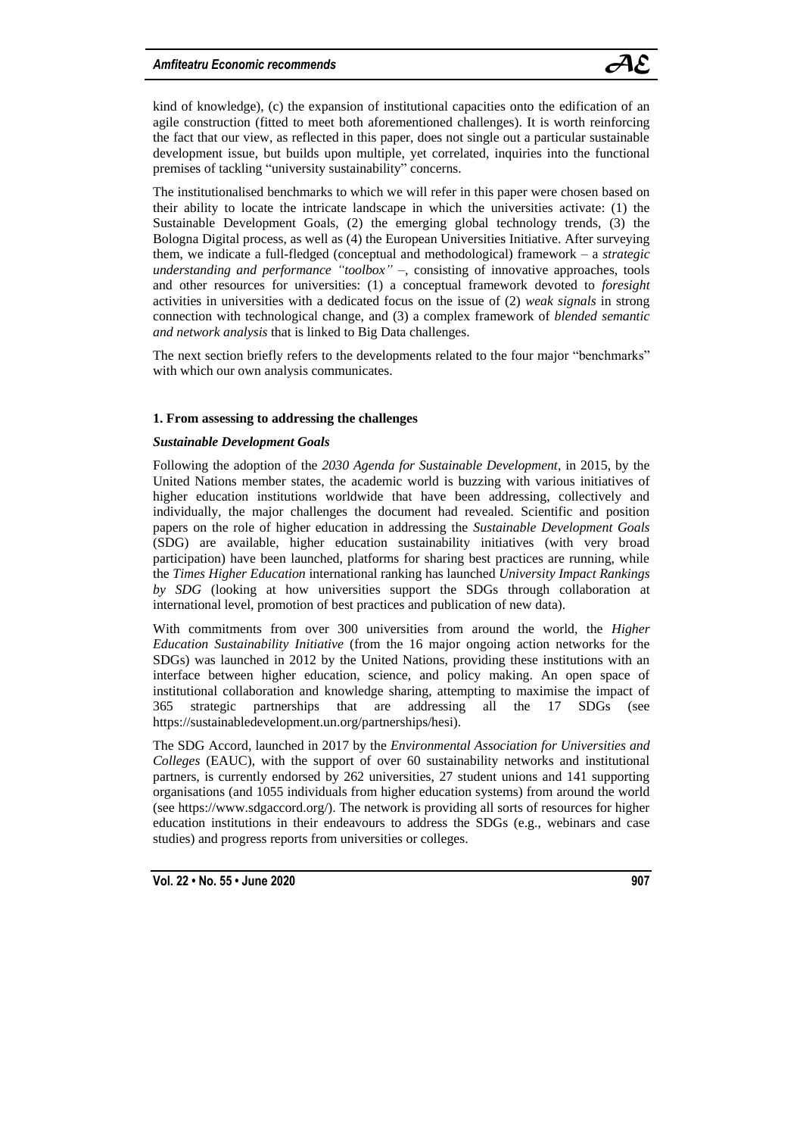

kind of knowledge), (c) the expansion of institutional capacities onto the edification of an agile construction (fitted to meet both aforementioned challenges). It is worth reinforcing the fact that our view, as reflected in this paper, does not single out a particular sustainable development issue, but builds upon multiple, yet correlated, inquiries into the functional premises of tackling "university sustainability" concerns.

The institutionalised benchmarks to which we will refer in this paper were chosen based on their ability to locate the intricate landscape in which the universities activate: (1) the Sustainable Development Goals, (2) the emerging global technology trends, (3) the Bologna Digital process, as well as (4) the European Universities Initiative. After surveying them, we indicate a full-fledged (conceptual and methodological) framework – a *strategic understanding and performance "toolbox"* –*,* consisting of innovative approaches, tools and other resources for universities: (1) a conceptual framework devoted to *foresight* activities in universities with a dedicated focus on the issue of (2) *weak signals* in strong connection with technological change, and (3) a complex framework of *blended semantic and network analysis* that is linked to Big Data challenges.

The next section briefly refers to the developments related to the four major "benchmarks" with which our own analysis communicates.

## **1. From assessing to addressing the challenges**

#### *Sustainable Development Goals*

Following the adoption of the *2030 Agenda for Sustainable Development*, in 2015, by the United Nations member states, the academic world is buzzing with various initiatives of higher education institutions worldwide that have been addressing, collectively and individually, the major challenges the document had revealed. Scientific and position papers on the role of higher education in addressing the *Sustainable Development Goals* (SDG) are available, higher education sustainability initiatives (with very broad participation) have been launched, platforms for sharing best practices are running, while the *Times Higher Education* international ranking has launched *University Impact Rankings by SDG* (looking at how universities support the SDGs through collaboration at international level, promotion of best practices and publication of new data).

With commitments from over 300 universities from around the world, the *Higher Education Sustainability Initiative* (from the 16 major ongoing action networks for the SDGs) was launched in 2012 by the United Nations, providing these institutions with an interface between higher education, science, and policy making. An open space of institutional collaboration and knowledge sharing, attempting to maximise the impact of 365 strategic partnerships that are addressing all the 17 SDGs (see https://sustainabledevelopment.un.org/partnerships/hesi).

The SDG Accord, launched in 2017 by the *Environmental Association for Universities and Colleges* (EAUC), with the support of over 60 sustainability networks and institutional partners, is currently endorsed by 262 universities, 27 student unions and 141 supporting organisations (and 1055 individuals from higher education systems) from around the world (see https://www.sdgaccord.org/). The network is providing all sorts of resources for higher education institutions in their endeavours to address the SDGs (e.g., webinars and case studies) and progress reports from universities or colleges.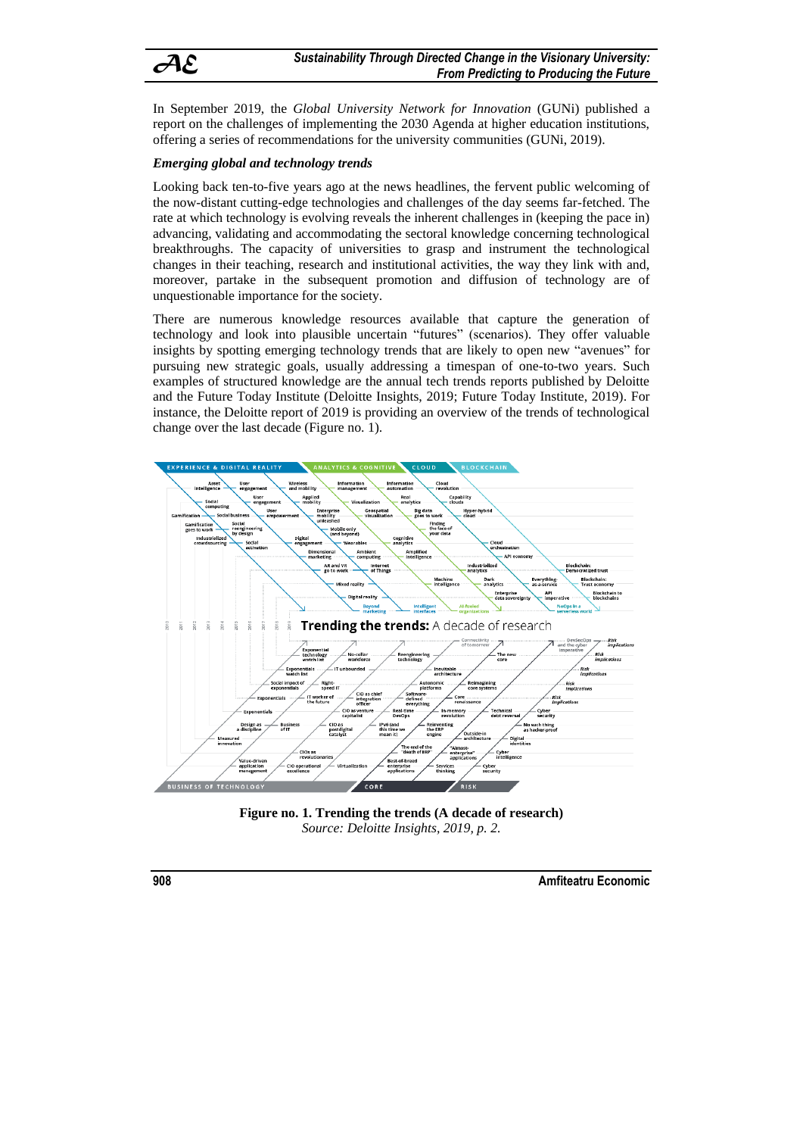

In September 2019, the *Global University Network for Innovation* (GUNi) published a report on the challenges of implementing the 2030 Agenda at higher education institutions, offering a series of recommendations for the university communities (GUNi, 2019).

# *Emerging global and technology trends*

Looking back ten-to-five years ago at the news headlines, the fervent public welcoming of the now-distant cutting-edge technologies and challenges of the day seems far-fetched. The rate at which technology is evolving reveals the inherent challenges in (keeping the pace in) advancing, validating and accommodating the sectoral knowledge concerning technological breakthroughs. The capacity of universities to grasp and instrument the technological changes in their teaching, research and institutional activities, the way they link with and, moreover, partake in the subsequent promotion and diffusion of technology are of unquestionable importance for the society.

There are numerous knowledge resources available that capture the generation of technology and look into plausible uncertain "futures" (scenarios). They offer valuable insights by spotting emerging technology trends that are likely to open new "avenues" for pursuing new strategic goals, usually addressing a timespan of one-to-two years. Such examples of structured knowledge are the annual tech trends reports published by Deloitte and the Future Today Institute (Deloitte Insights, 2019; Future Today Institute, 2019). For instance, the Deloitte report of 2019 is providing an overview of the trends of technological change over the last decade (Figure no. 1).



**Figure no. 1. Trending the trends (A decade of research)** *Source: Deloitte Insights, 2019, p. 2.*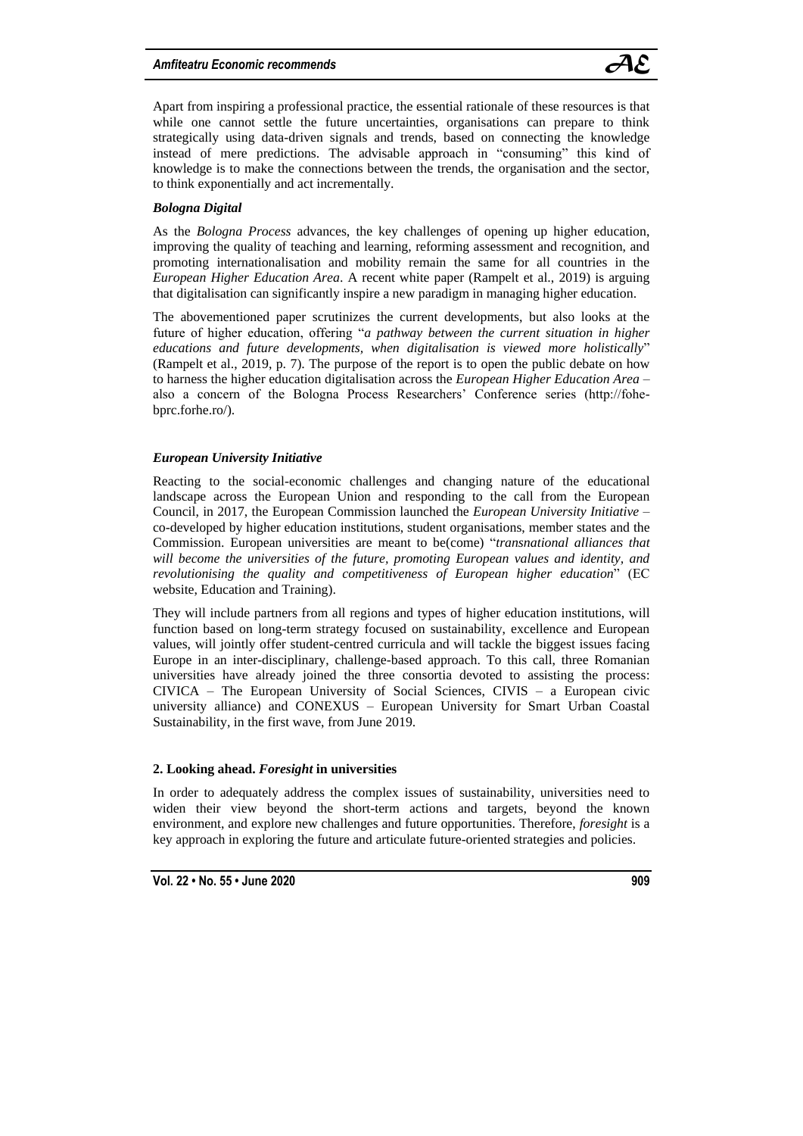

Apart from inspiring a professional practice, the essential rationale of these resources is that while one cannot settle the future uncertainties, organisations can prepare to think strategically using data-driven signals and trends, based on connecting the knowledge instead of mere predictions. The advisable approach in "consuming" this kind of knowledge is to make the connections between the trends, the organisation and the sector, to think exponentially and act incrementally.

# *Bologna Digital*

As the *Bologna Process* advances, the key challenges of opening up higher education, improving the quality of teaching and learning, reforming assessment and recognition, and promoting internationalisation and mobility remain the same for all countries in the *European Higher Education Area*. A recent white paper (Rampelt et al., 2019) is arguing that digitalisation can significantly inspire a new paradigm in managing higher education.

The abovementioned paper scrutinizes the current developments, but also looks at the future of higher education, offering "*a pathway between the current situation in higher educations and future developments, when digitalisation is viewed more holistically*" (Rampelt et al., 2019, p. 7). The purpose of the report is to open the public debate on how to harness the higher education digitalisation across the *European Higher Education Area* – also a concern of the Bologna Process Researchers' Conference series (http://fohebprc.forhe.ro/).

## *European University Initiative*

Reacting to the social-economic challenges and changing nature of the educational landscape across the European Union and responding to the call from the European Council, in 2017, the European Commission launched the *European University Initiative* – co-developed by higher education institutions, student organisations, member states and the Commission. European universities are meant to be(come) "*transnational alliances that will become the universities of the future, promoting European values and identity, and revolutionising the quality and competitiveness of European higher education*" (EC website, Education and Training).

They will include partners from all regions and types of higher education institutions, will function based on long-term strategy focused on sustainability, excellence and European values, will jointly offer student-centred curricula and will tackle the biggest issues facing Europe in an inter-disciplinary, challenge-based approach. To this call, three Romanian universities have already joined the three consortia devoted to assisting the process: CIVICA – The European University of Social Sciences, CIVIS – a European civic university alliance) and CONEXUS – European University for Smart Urban Coastal Sustainability, in the first wave, from June 2019.

## **2. Looking ahead.** *Foresight* **in universities**

In order to adequately address the complex issues of sustainability, universities need to widen their view beyond the short-term actions and targets, beyond the known environment, and explore new challenges and future opportunities. Therefore, *foresight* is a key approach in exploring the future and articulate future-oriented strategies and policies.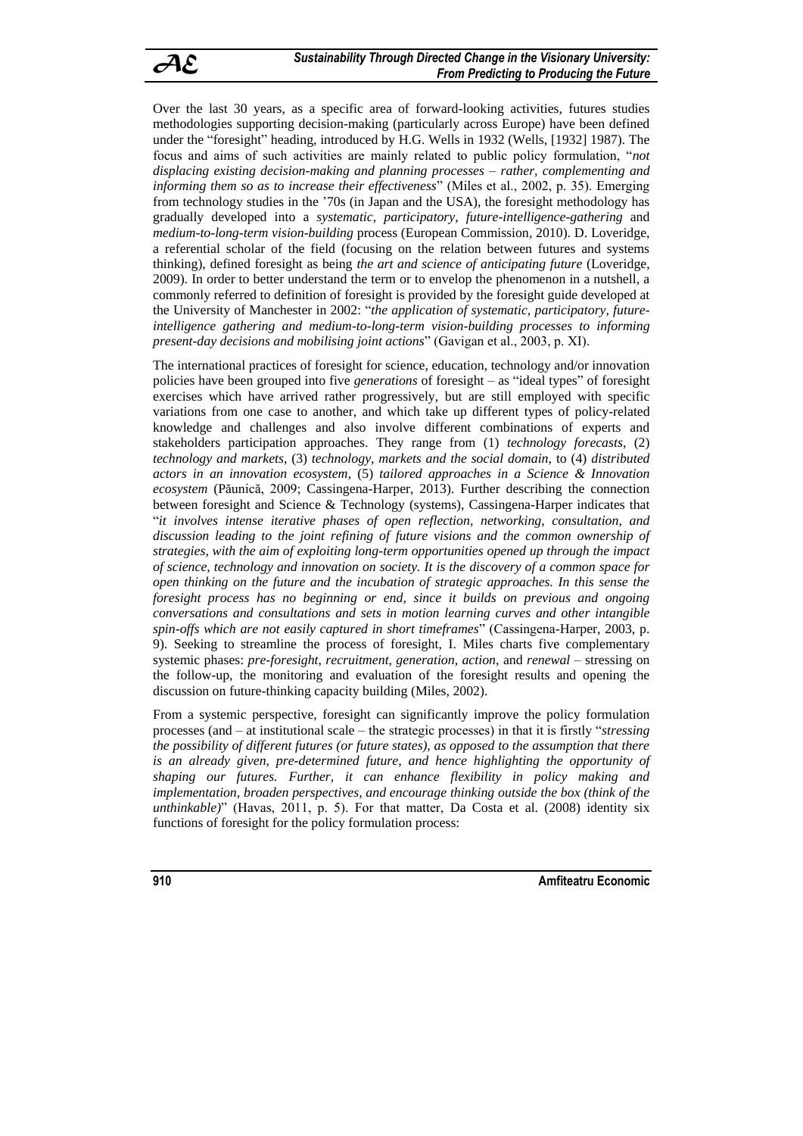Over the last 30 years, as a specific area of forward-looking activities, futures studies methodologies supporting decision-making (particularly across Europe) have been defined under the "foresight" heading, introduced by H.G. Wells in 1932 (Wells, [1932] 1987). The focus and aims of such activities are mainly related to public policy formulation, "*not displacing existing decision-making and planning processes – rather, complementing and informing them so as to increase their effectiveness*" (Miles et al., 2002, p. 35). Emerging from technology studies in the '70s (in Japan and the USA), the foresight methodology has gradually developed into a *systematic*, *participatory*, *future-intelligence-gathering* and *medium-to-long-term vision-building* process (European Commission, 2010). D. Loveridge, a referential scholar of the field (focusing on the relation between futures and systems thinking), defined foresight as being *the art and science of anticipating future* (Loveridge, 2009). In order to better understand the term or to envelop the phenomenon in a nutshell, a commonly referred to definition of foresight is provided by the foresight guide developed at the University of Manchester in 2002: "*the application of systematic, participatory, futureintelligence gathering and medium-to-long-term vision-building processes to informing present-day decisions and mobilising joint actions*" (Gavigan et al., 2003, p. XI).

The international practices of foresight for science, education, technology and/or innovation policies have been grouped into five *generations* of foresight – as "ideal types" of foresight exercises which have arrived rather progressively, but are still employed with specific variations from one case to another, and which take up different types of policy-related knowledge and challenges and also involve different combinations of experts and stakeholders participation approaches. They range from (1) *technology forecasts*, (2) *technology and markets*, (3) *technology, markets and the social domain*, to (4) *distributed actors in an innovation ecosystem*, (5) *tailored approaches in a Science & Innovation ecosystem* (Păunică, 2009; Cassingena-Harper, 2013). Further describing the connection between foresight and Science & Technology (systems), Cassingena-Harper indicates that "*it involves intense iterative phases of open reflection, networking, consultation, and discussion leading to the joint refining of future visions and the common ownership of strategies, with the aim of exploiting long-term opportunities opened up through the impact of science, technology and innovation on society. It is the discovery of a common space for open thinking on the future and the incubation of strategic approaches. In this sense the foresight process has no beginning or end, since it builds on previous and ongoing conversations and consultations and sets in motion learning curves and other intangible spin-offs which are not easily captured in short timeframes*" (Cassingena-Harper, 2003, p. 9). Seeking to streamline the process of foresight, I. Miles charts five complementary systemic phases: *pre-foresight*, *recruitment*, *generation*, *action*, and *renewal* – stressing on the follow-up, the monitoring and evaluation of the foresight results and opening the discussion on future-thinking capacity building (Miles, 2002).

From a systemic perspective, foresight can significantly improve the policy formulation processes (and – at institutional scale – the strategic processes) in that it is firstly "*stressing the possibility of different futures (or future states), as opposed to the assumption that there is an already given, pre-determined future, and hence highlighting the opportunity of shaping our futures. Further, it can enhance flexibility in policy making and implementation, broaden perspectives, and encourage thinking outside the box (think of the unthinkable)*" (Havas, 2011, p. 5). For that matter, Da Costa et al. (2008) identity six functions of foresight for the policy formulation process: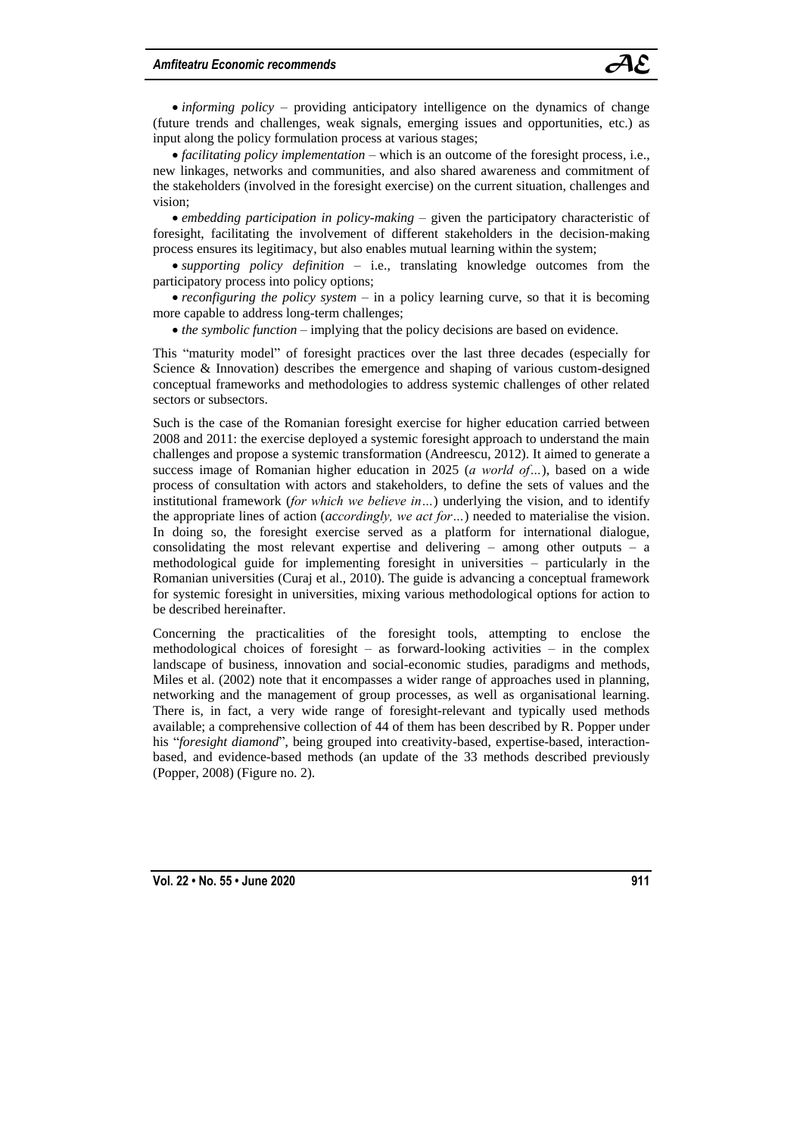

• *informing policy* – providing anticipatory intelligence on the dynamics of change (future trends and challenges, weak signals, emerging issues and opportunities, etc.) as input along the policy formulation process at various stages;

 *facilitating policy implementation* – which is an outcome of the foresight process, i.e., new linkages, networks and communities, and also shared awareness and commitment of the stakeholders (involved in the foresight exercise) on the current situation, challenges and vision;

 *embedding participation in policy-making* – given the participatory characteristic of foresight, facilitating the involvement of different stakeholders in the decision-making process ensures its legitimacy, but also enables mutual learning within the system;

 *supporting policy definition* – i.e., translating knowledge outcomes from the participatory process into policy options;

 *reconfiguring the policy system* – in a policy learning curve, so that it is becoming more capable to address long-term challenges;

*the symbolic function* – implying that the policy decisions are based on evidence.

This "maturity model" of foresight practices over the last three decades (especially for Science & Innovation) describes the emergence and shaping of various custom-designed conceptual frameworks and methodologies to address systemic challenges of other related sectors or subsectors.

Such is the case of the Romanian foresight exercise for higher education carried between 2008 and 2011: the exercise deployed a systemic foresight approach to understand the main challenges and propose a systemic transformation (Andreescu, 2012). It aimed to generate a success image of Romanian higher education in 2025 (*a world of…*), based on a wide process of consultation with actors and stakeholders, to define the sets of values and the institutional framework (*for which we believe in…*) underlying the vision, and to identify the appropriate lines of action (*accordingly, we act for…*) needed to materialise the vision. In doing so, the foresight exercise served as a platform for international dialogue, consolidating the most relevant expertise and delivering – among other outputs – a methodological guide for implementing foresight in universities – particularly in the Romanian universities (Curaj et al., 2010). The guide is advancing a conceptual framework for systemic foresight in universities, mixing various methodological options for action to be described hereinafter.

Concerning the practicalities of the foresight tools, attempting to enclose the methodological choices of foresight – as forward-looking activities – in the complex landscape of business, innovation and social-economic studies, paradigms and methods, Miles et al. (2002) note that it encompasses a wider range of approaches used in planning, networking and the management of group processes, as well as organisational learning. There is, in fact, a very wide range of foresight-relevant and typically used methods available; a comprehensive collection of 44 of them has been described by R. Popper under his "*foresight diamond*", being grouped into creativity-based, expertise-based, interactionbased, and evidence-based methods (an update of the 33 methods described previously (Popper, 2008) (Figure no. 2).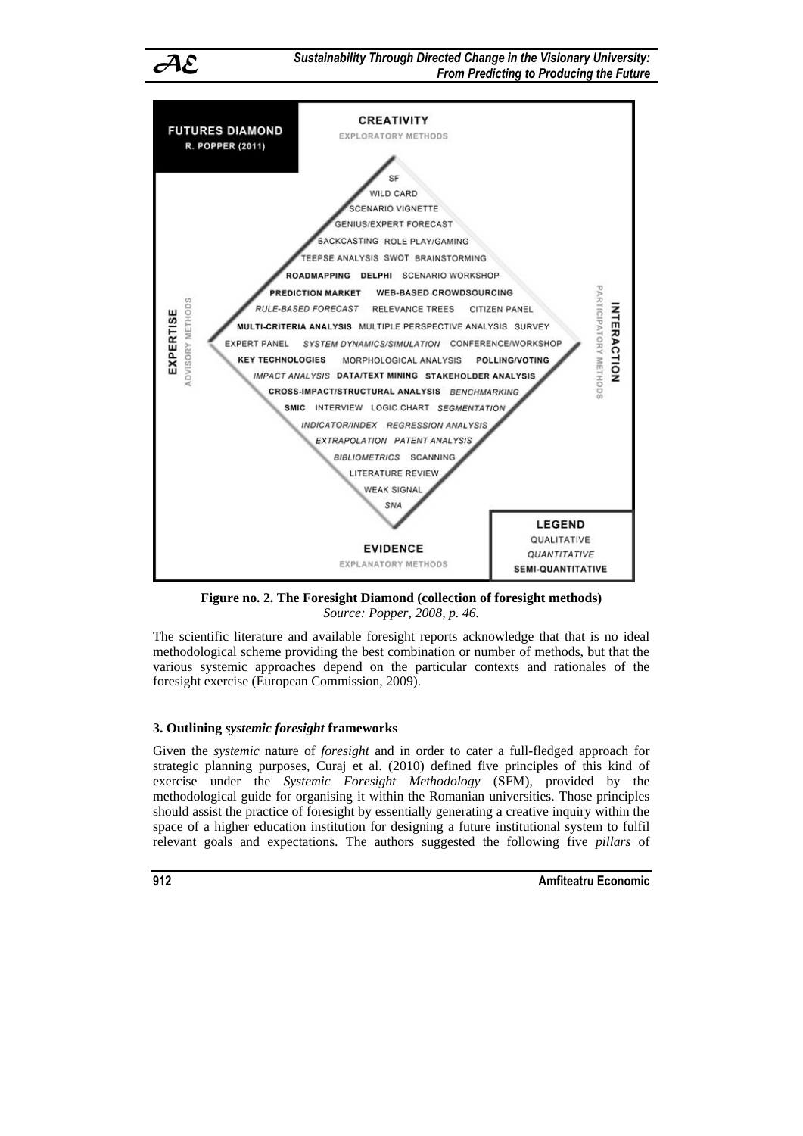*AE Sustainability Through Directed Change in the Visionary University: From Predicting to Producing the Future*



**Figure no. 2. The Foresight Diamond (collection of foresight methods)** *Source: Popper, 2008, p. 46.*

The scientific literature and available foresight reports acknowledge that that is no ideal methodological scheme providing the best combination or number of methods, but that the various systemic approaches depend on the particular contexts and rationales of the foresight exercise (European Commission, 2009).

# **3. Outlining** *systemic foresight* **frameworks**

Given the *systemic* nature of *foresight* and in order to cater a full-fledged approach for strategic planning purposes, Curaj et al. (2010) defined five principles of this kind of exercise under the *Systemic Foresight Methodology* (SFM), provided by the methodological guide for organising it within the Romanian universities. Those principles should assist the practice of foresight by essentially generating a creative inquiry within the space of a higher education institution for designing a future institutional system to fulfil relevant goals and expectations. The authors suggested the following five *pillars* of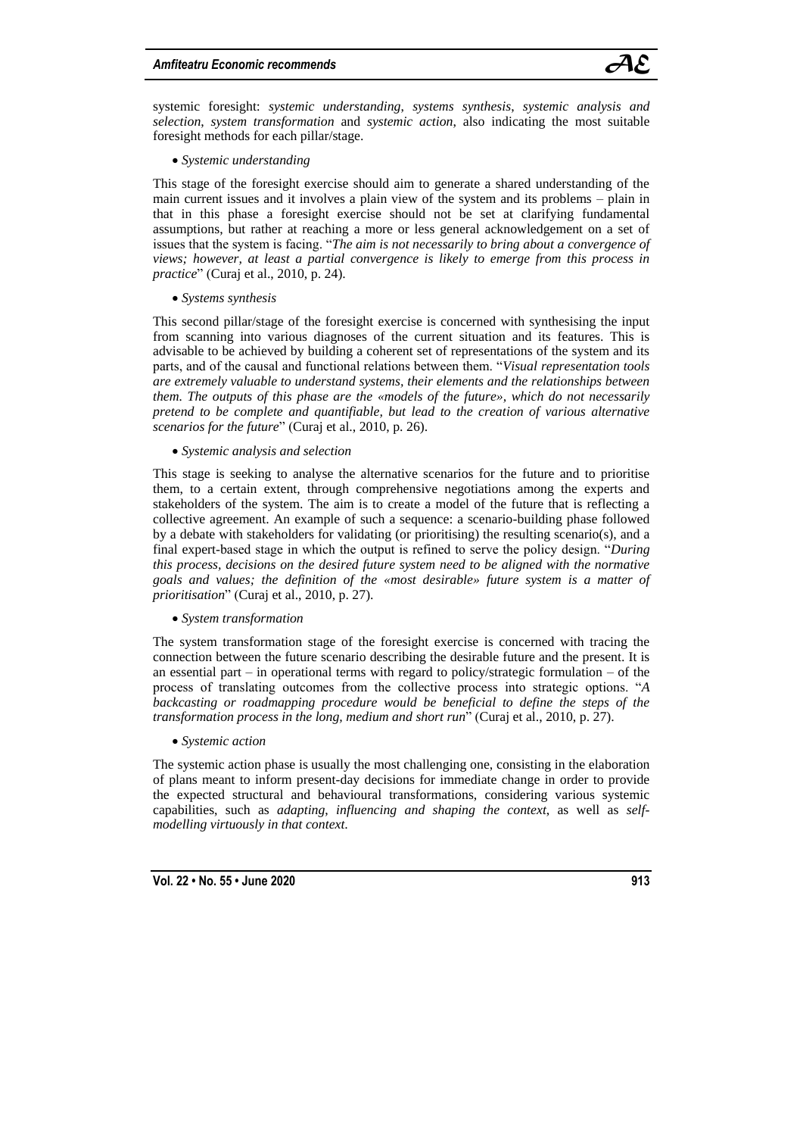![](_page_8_Picture_1.jpeg)

systemic foresight: *systemic understanding*, *systems synthesis*, *systemic analysis and selection*, *system transformation* and *systemic action*, also indicating the most suitable foresight methods for each pillar/stage.

#### *Systemic understanding*

This stage of the foresight exercise should aim to generate a shared understanding of the main current issues and it involves a plain view of the system and its problems – plain in that in this phase a foresight exercise should not be set at clarifying fundamental assumptions, but rather at reaching a more or less general acknowledgement on a set of issues that the system is facing. "*The aim is not necessarily to bring about a convergence of views; however, at least a partial convergence is likely to emerge from this process in practice*" (Curaj et al., 2010, p. 24).

## *Systems synthesis*

This second pillar/stage of the foresight exercise is concerned with synthesising the input from scanning into various diagnoses of the current situation and its features. This is advisable to be achieved by building a coherent set of representations of the system and its parts, and of the causal and functional relations between them. "*Visual representation tools are extremely valuable to understand systems, their elements and the relationships between them. The outputs of this phase are the «models of the future», which do not necessarily pretend to be complete and quantifiable, but lead to the creation of various alternative scenarios for the future*" (Curaj et al., 2010, p. 26).

*Systemic analysis and selection*

This stage is seeking to analyse the alternative scenarios for the future and to prioritise them, to a certain extent, through comprehensive negotiations among the experts and stakeholders of the system. The aim is to create a model of the future that is reflecting a collective agreement. An example of such a sequence: a scenario-building phase followed by a debate with stakeholders for validating (or prioritising) the resulting scenario(s), and a final expert-based stage in which the output is refined to serve the policy design. "*During this process, decisions on the desired future system need to be aligned with the normative goals and values; the definition of the «most desirable» future system is a matter of prioritisation*" (Curaj et al., 2010, p. 27).

#### *System transformation*

The system transformation stage of the foresight exercise is concerned with tracing the connection between the future scenario describing the desirable future and the present. It is an essential part – in operational terms with regard to policy/strategic formulation – of the process of translating outcomes from the collective process into strategic options. "*A backcasting or roadmapping procedure would be beneficial to define the steps of the transformation process in the long, medium and short run*" (Curaj et al., 2010, p. 27).

#### *Systemic action*

The systemic action phase is usually the most challenging one, consisting in the elaboration of plans meant to inform present-day decisions for immediate change in order to provide the expected structural and behavioural transformations, considering various systemic capabilities, such as *adapting*, *influencing and shaping the context*, as well as *selfmodelling virtuously in that context*.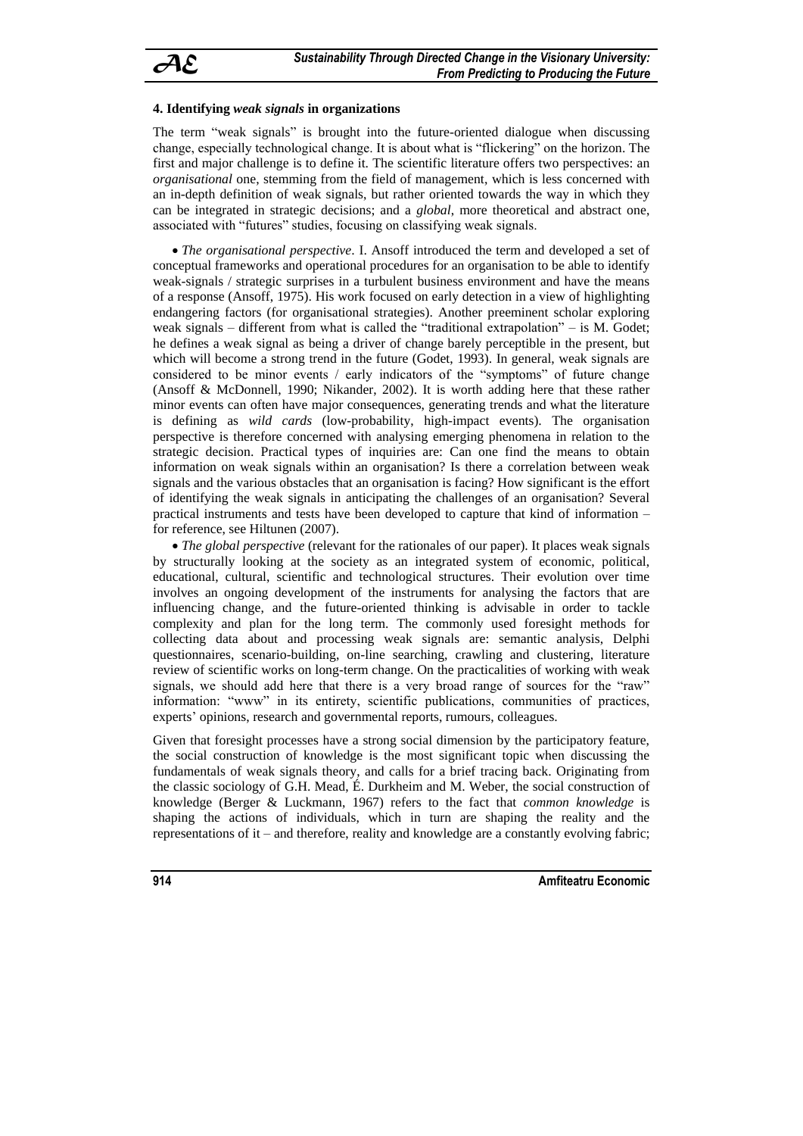# **4. Identifying** *weak signals* **in organizations**

The term "weak signals" is brought into the future-oriented dialogue when discussing change, especially technological change. It is about what is "flickering" on the horizon. The first and major challenge is to define it. The scientific literature offers two perspectives: an *organisational* one, stemming from the field of management, which is less concerned with an in-depth definition of weak signals, but rather oriented towards the way in which they can be integrated in strategic decisions; and a *global*, more theoretical and abstract one, associated with "futures" studies, focusing on classifying weak signals.

 *The organisational perspective*. I. Ansoff introduced the term and developed a set of conceptual frameworks and operational procedures for an organisation to be able to identify weak-signals / strategic surprises in a turbulent business environment and have the means of a response (Ansoff, 1975). His work focused on early detection in a view of highlighting endangering factors (for organisational strategies). Another preeminent scholar exploring weak signals – different from what is called the "traditional extrapolation" – is M. Godet; he defines a weak signal as being a driver of change barely perceptible in the present, but which will become a strong trend in the future (Godet, 1993). In general, weak signals are considered to be minor events / early indicators of the "symptoms" of future change (Ansoff & McDonnell, 1990; Nikander, 2002). It is worth adding here that these rather minor events can often have major consequences, generating trends and what the literature is defining as *wild cards* (low-probability, high-impact events). The organisation perspective is therefore concerned with analysing emerging phenomena in relation to the strategic decision. Practical types of inquiries are: Can one find the means to obtain information on weak signals within an organisation? Is there a correlation between weak signals and the various obstacles that an organisation is facing? How significant is the effort of identifying the weak signals in anticipating the challenges of an organisation? Several practical instruments and tests have been developed to capture that kind of information – for reference, see Hiltunen (2007).

 *The global perspective* (relevant for the rationales of our paper). It places weak signals by structurally looking at the society as an integrated system of economic, political, educational, cultural, scientific and technological structures. Their evolution over time involves an ongoing development of the instruments for analysing the factors that are influencing change, and the future-oriented thinking is advisable in order to tackle complexity and plan for the long term. The commonly used foresight methods for collecting data about and processing weak signals are: semantic analysis, Delphi questionnaires, scenario-building, on-line searching, crawling and clustering, literature review of scientific works on long-term change. On the practicalities of working with weak signals, we should add here that there is a very broad range of sources for the "raw" information: "www" in its entirety, scientific publications, communities of practices, experts' opinions, research and governmental reports, rumours, colleagues.

Given that foresight processes have a strong social dimension by the participatory feature, the social construction of knowledge is the most significant topic when discussing the fundamentals of weak signals theory, and calls for a brief tracing back. Originating from the classic sociology of G.H. Mead, É. Durkheim and M. Weber, the social construction of knowledge (Berger & Luckmann, 1967) refers to the fact that *common knowledge* is shaping the actions of individuals, which in turn are shaping the reality and the representations of it – and therefore, reality and knowledge are a constantly evolving fabric;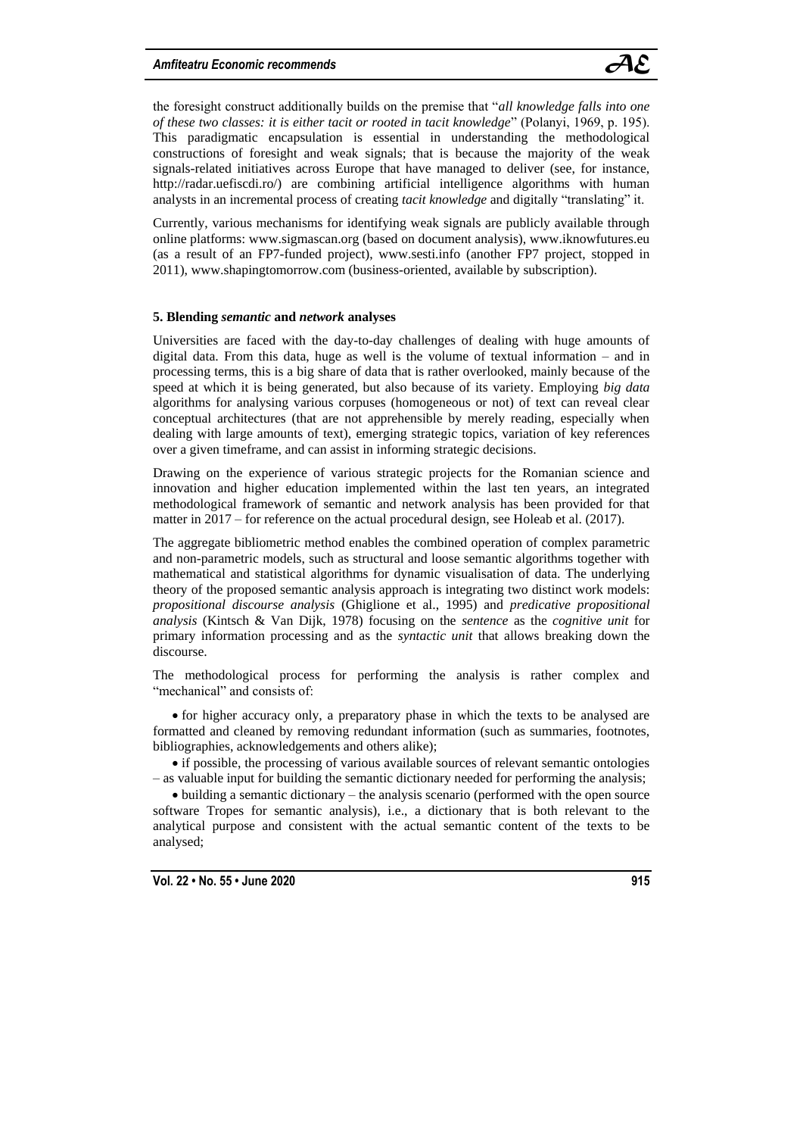![](_page_10_Picture_1.jpeg)

the foresight construct additionally builds on the premise that "*all knowledge falls into one of these two classes: it is either tacit or rooted in tacit knowledge*" (Polanyi, 1969, p. 195). This paradigmatic encapsulation is essential in understanding the methodological constructions of foresight and weak signals; that is because the majority of the weak signals-related initiatives across Europe that have managed to deliver (see, for instance, http://radar.uefiscdi.ro/) are combining artificial intelligence algorithms with human analysts in an incremental process of creating *tacit knowledge* and digitally "translating" it.

Currently, various mechanisms for identifying weak signals are publicly available through online platforms: www.sigmascan.org (based on document analysis), www.iknowfutures.eu (as a result of an FP7-funded project), www.sesti.info (another FP7 project, stopped in 2011), www.shapingtomorrow.com (business-oriented, available by subscription).

#### **5. Blending** *semantic* **and** *network* **analyses**

Universities are faced with the day-to-day challenges of dealing with huge amounts of digital data. From this data, huge as well is the volume of textual information – and in processing terms, this is a big share of data that is rather overlooked, mainly because of the speed at which it is being generated, but also because of its variety. Employing *big data* algorithms for analysing various corpuses (homogeneous or not) of text can reveal clear conceptual architectures (that are not apprehensible by merely reading, especially when dealing with large amounts of text), emerging strategic topics, variation of key references over a given timeframe, and can assist in informing strategic decisions.

Drawing on the experience of various strategic projects for the Romanian science and innovation and higher education implemented within the last ten years, an integrated methodological framework of semantic and network analysis has been provided for that matter in 2017 – for reference on the actual procedural design, see Holeab et al. (2017).

The aggregate bibliometric method enables the combined operation of complex parametric and non-parametric models, such as structural and loose semantic algorithms together with mathematical and statistical algorithms for dynamic visualisation of data. The underlying theory of the proposed semantic analysis approach is integrating two distinct work models: *propositional discourse analysis* (Ghiglione et al., 1995) and *predicative propositional analysis* (Kintsch & Van Dijk, 1978) focusing on the *sentence* as the *cognitive unit* for primary information processing and as the *syntactic unit* that allows breaking down the discourse.

The methodological process for performing the analysis is rather complex and "mechanical" and consists of:

 for higher accuracy only, a preparatory phase in which the texts to be analysed are formatted and cleaned by removing redundant information (such as summaries, footnotes, bibliographies, acknowledgements and others alike);

 if possible, the processing of various available sources of relevant semantic ontologies – as valuable input for building the semantic dictionary needed for performing the analysis;

 $\bullet$  building a semantic dictionary – the analysis scenario (performed with the open source software Tropes for semantic analysis), i.e., a dictionary that is both relevant to the analytical purpose and consistent with the actual semantic content of the texts to be analysed;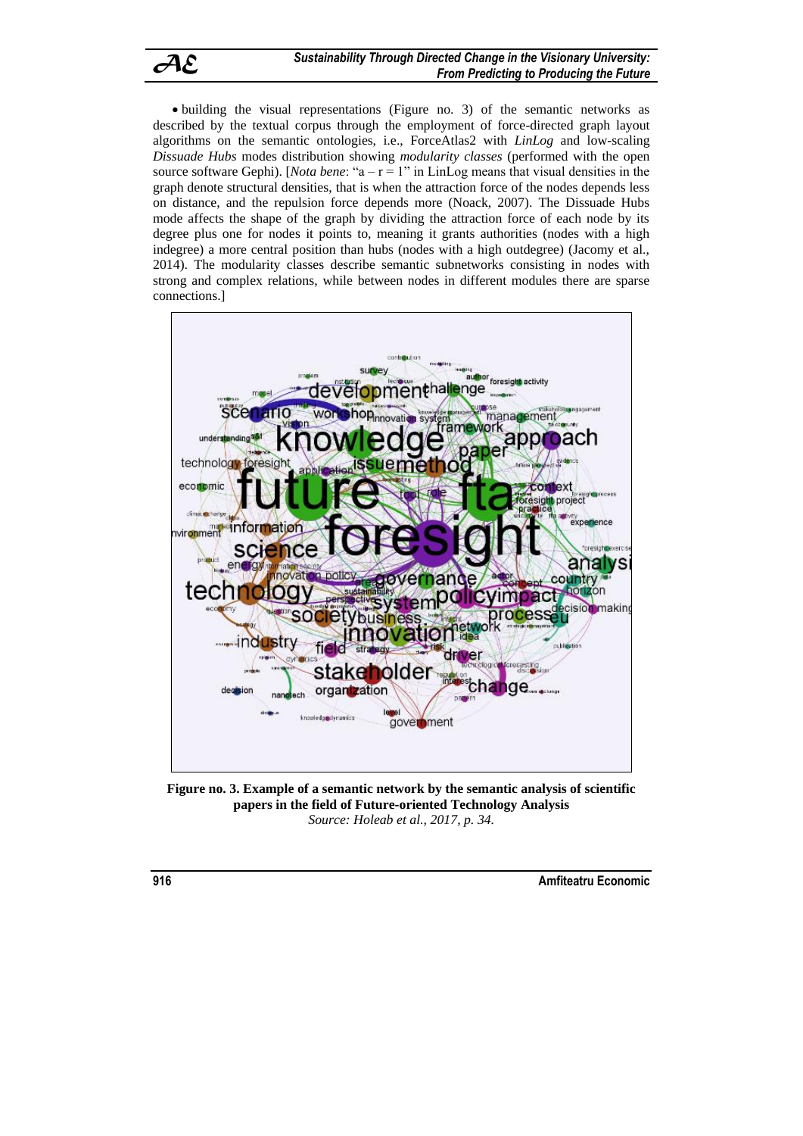![](_page_11_Picture_0.jpeg)

 building the visual representations (Figure no. 3) of the semantic networks as described by the textual corpus through the employment of force-directed graph layout algorithms on the semantic ontologies, i.e., ForceAtlas2 with *LinLog* and low-scaling *Dissuade Hubs* modes distribution showing *modularity classes* (performed with the open source software Gephi). [*Nota bene:* " $a - r = 1$ " in LinLog means that visual densities in the graph denote structural densities, that is when the attraction force of the nodes depends less on distance, and the repulsion force depends more (Noack, 2007). The Dissuade Hubs mode affects the shape of the graph by dividing the attraction force of each node by its degree plus one for nodes it points to, meaning it grants authorities (nodes with a high indegree) a more central position than hubs (nodes with a high outdegree) (Jacomy et al., 2014). The modularity classes describe semantic subnetworks consisting in nodes with strong and complex relations, while between nodes in different modules there are sparse connections.]

![](_page_11_Figure_3.jpeg)

**Figure no. 3. Example of a semantic network by the semantic analysis of scientific papers in the field of Future-oriented Technology Analysis** *Source: Holeab et al., 2017, p. 34.*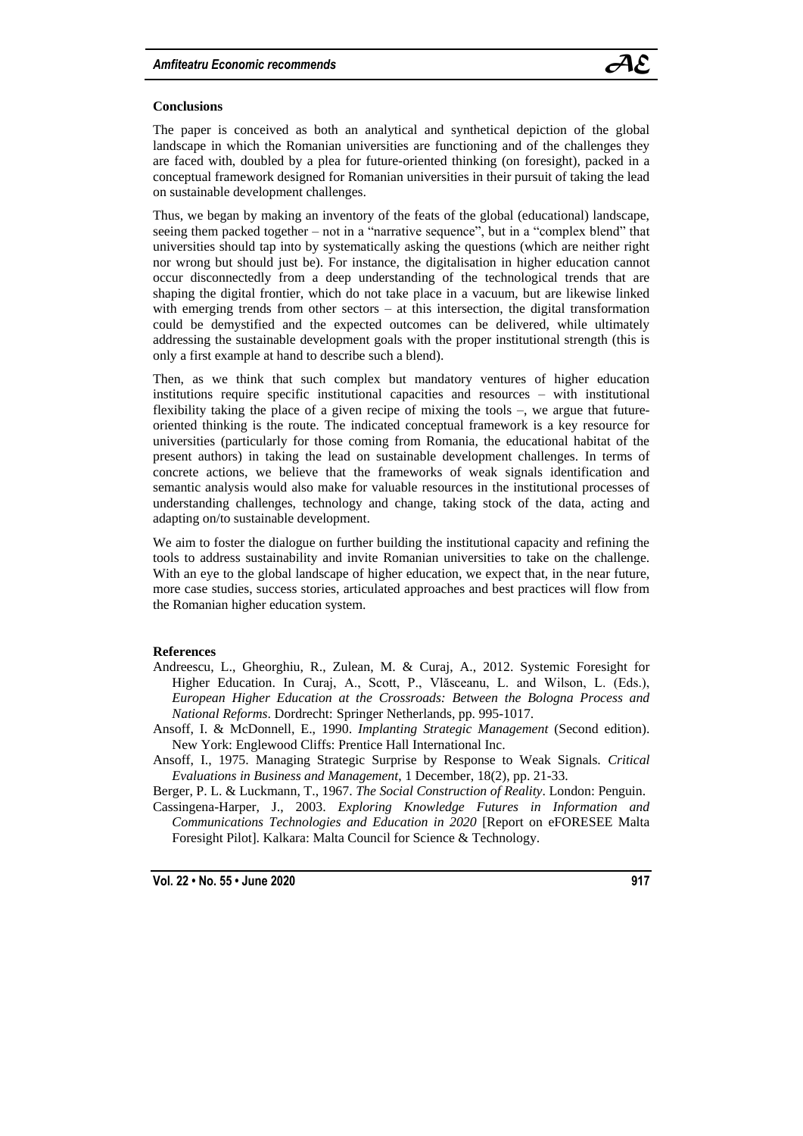![](_page_12_Picture_1.jpeg)

## **Conclusions**

The paper is conceived as both an analytical and synthetical depiction of the global landscape in which the Romanian universities are functioning and of the challenges they are faced with, doubled by a plea for future-oriented thinking (on foresight), packed in a conceptual framework designed for Romanian universities in their pursuit of taking the lead on sustainable development challenges.

Thus, we began by making an inventory of the feats of the global (educational) landscape, seeing them packed together – not in a "narrative sequence", but in a "complex blend" that universities should tap into by systematically asking the questions (which are neither right nor wrong but should just be). For instance, the digitalisation in higher education cannot occur disconnectedly from a deep understanding of the technological trends that are shaping the digital frontier, which do not take place in a vacuum, but are likewise linked with emerging trends from other sectors – at this intersection, the digital transformation could be demystified and the expected outcomes can be delivered, while ultimately addressing the sustainable development goals with the proper institutional strength (this is only a first example at hand to describe such a blend).

Then, as we think that such complex but mandatory ventures of higher education institutions require specific institutional capacities and resources – with institutional flexibility taking the place of a given recipe of mixing the tools –, we argue that futureoriented thinking is the route. The indicated conceptual framework is a key resource for universities (particularly for those coming from Romania, the educational habitat of the present authors) in taking the lead on sustainable development challenges. In terms of concrete actions, we believe that the frameworks of weak signals identification and semantic analysis would also make for valuable resources in the institutional processes of understanding challenges, technology and change, taking stock of the data, acting and adapting on/to sustainable development.

We aim to foster the dialogue on further building the institutional capacity and refining the tools to address sustainability and invite Romanian universities to take on the challenge. With an eye to the global landscape of higher education, we expect that, in the near future, more case studies, success stories, articulated approaches and best practices will flow from the Romanian higher education system.

## **References**

- Andreescu, L., Gheorghiu, R., Zulean, M. & Curaj, A., 2012. Systemic Foresight for Higher Education. In Curaj, A., Scott, P., Vlăsceanu, L. and Wilson, L. (Eds.), *European Higher Education at the Crossroads: Between the Bologna Process and National Reforms*. Dordrecht: Springer Netherlands, pp. 995-1017.
- Ansoff, I. & McDonnell, E., 1990. *Implanting Strategic Management* (Second edition). New York: Englewood Cliffs: Prentice Hall International Inc.
- Ansoff, I., 1975. Managing Strategic Surprise by Response to Weak Signals. *Critical Evaluations in Business and Management*, 1 December, 18(2), pp. 21-33.
- Berger, P. L. & Luckmann, T., 1967. *The Social Construction of Reality*. London: Penguin. Cassingena-Harper, J., 2003. *Exploring Knowledge Futures in Information and Communications Technologies and Education in 2020* [Report on eFORESEE Malta Foresight Pilot]. Kalkara: Malta Council for Science & Technology.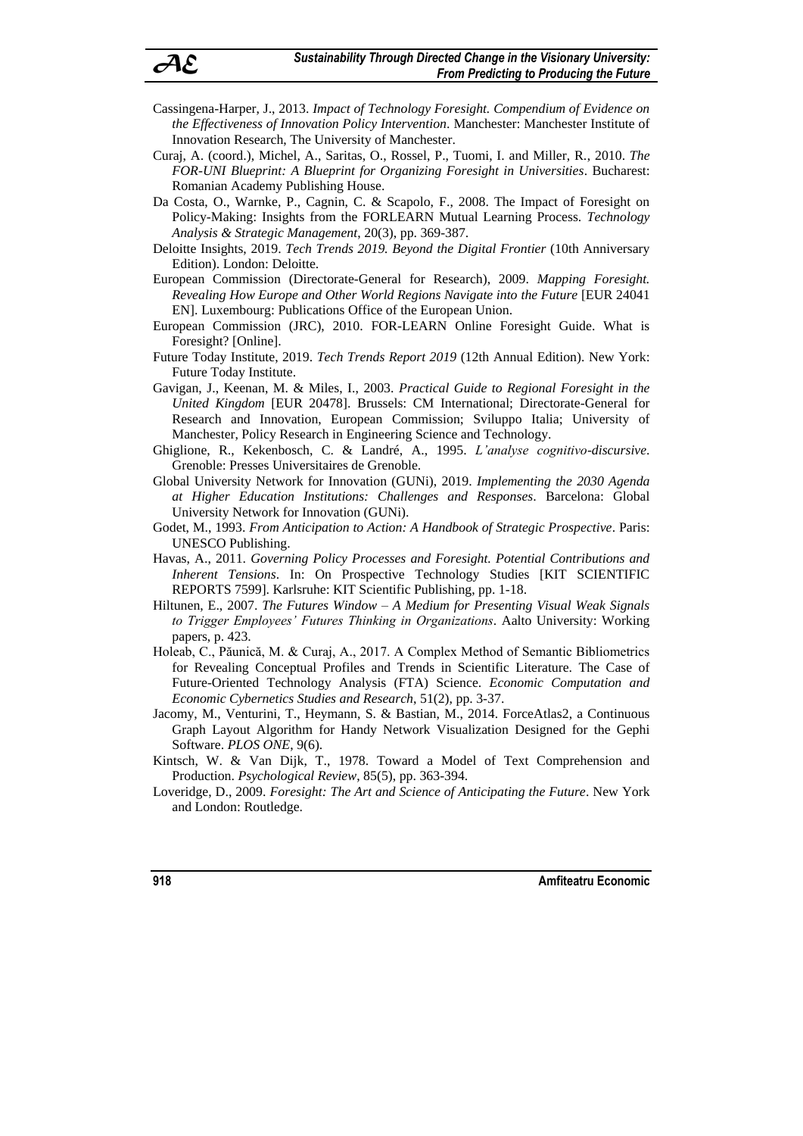- Cassingena-Harper, J., 2013. *Impact of Technology Foresight. Compendium of Evidence on the Effectiveness of Innovation Policy Intervention*. Manchester: Manchester Institute of Innovation Research, The University of Manchester.
- Curaj, A. (coord.), Michel, A., Saritas, O., Rossel, P., Tuomi, I. and Miller, R., 2010. *The FOR-UNI Blueprint: A Blueprint for Organizing Foresight in Universities*. Bucharest: Romanian Academy Publishing House.
- Da Costa, O., Warnke, P., Cagnin, C. & Scapolo, F., 2008. The Impact of Foresight on Policy-Making: Insights from the FORLEARN Mutual Learning Process. *Technology Analysis & Strategic Management*, 20(3), pp. 369-387.
- Deloitte Insights, 2019. *Tech Trends 2019. Beyond the Digital Frontier* (10th Anniversary Edition). London: Deloitte.
- European Commission (Directorate-General for Research), 2009. *Mapping Foresight. Revealing How Europe and Other World Regions Navigate into the Future* [EUR 24041 EN]. Luxembourg: Publications Office of the European Union.
- European Commission (JRC), 2010. FOR-LEARN Online Foresight Guide. What is Foresight? [Online].
- Future Today Institute, 2019. *Tech Trends Report 2019* (12th Annual Edition). New York: Future Today Institute.
- Gavigan, J., Keenan, M. & Miles, I., 2003. *Practical Guide to Regional Foresight in the United Kingdom* [EUR 20478]. Brussels: CM International; Directorate-General for Research and Innovation, European Commission; Sviluppo Italia; University of Manchester, Policy Research in Engineering Science and Technology.
- Ghiglione, R., Kekenbosch, C. & Landré, A., 1995. *L'analyse cognitivo-discursive*. Grenoble: Presses Universitaires de Grenoble.
- Global University Network for Innovation (GUNi), 2019. *Implementing the 2030 Agenda at Higher Education Institutions: Challenges and Responses*. Barcelona: Global University Network for Innovation (GUNi).
- Godet, M., 1993. *From Anticipation to Action: A Handbook of Strategic Prospective*. Paris: UNESCO Publishing.
- Havas, A., 2011. *Governing Policy Processes and Foresight. Potential Contributions and Inherent Tensions*. In: On Prospective Technology Studies [KIT SCIENTIFIC REPORTS 7599]. Karlsruhe: KIT Scientific Publishing, pp. 1-18.
- Hiltunen, E., 2007. *The Futures Window – A Medium for Presenting Visual Weak Signals to Trigger Employees' Futures Thinking in Organizations*. Aalto University: Working papers, p. 423.
- Holeab, C., Păunică, M. & Curaj, A., 2017. A Complex Method of Semantic Bibliometrics for Revealing Conceptual Profiles and Trends in Scientific Literature. The Case of Future-Oriented Technology Analysis (FTA) Science. *Economic Computation and Economic Cybernetics Studies and Research*, 51(2), pp. 3-37.
- Jacomy, M., Venturini, T., Heymann, S. & Bastian, M., 2014. ForceAtlas2, a Continuous Graph Layout Algorithm for Handy Network Visualization Designed for the Gephi Software. *PLOS ONE*, 9(6).
- Kintsch, W. & Van Dijk, T., 1978. Toward a Model of Text Comprehension and Production. *Psychological Review*, 85(5), pp. 363-394.
- Loveridge, D., 2009. *Foresight: The Art and Science of Anticipating the Future*. New York and London: Routledge.